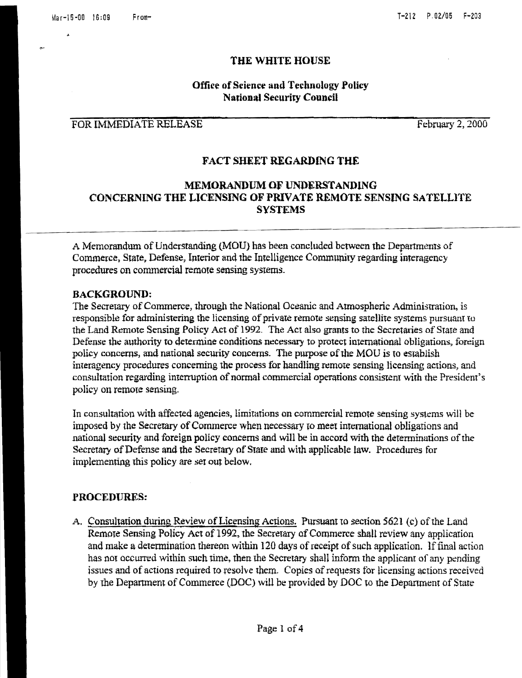#### THE WHITE HOUSE

# **Office of Science and Technology Policy National Security Council**

# FOR IMMEDIATE RELEASE

February 2, 2000

### **FACT SHEET REGARDING THE**

# **MEMORANDUM OF UNDERSTANDING** CONCERNING THE LICENSING OF PRIVATE REMOTE SENSING SATELLITE **SYSTEMS**

A Memorandum of Understanding (MOU) has been concluded between the Departments of Commerce, State, Defense, Interior and the Intelligence Community regarding interagency procedures on commercial remote sensing systems.

#### **BACKGROUND:**

The Secretary of Commerce, through the National Oceanic and Atmospheric Administration, is responsible for administering the licensing of private remote sensing satellite systems pursuant to the Land Remote Sensing Policy Act of 1992. The Act also grants to the Secretaries of State and Defense the authority to determine conditions necessary to protect international obligations, foreign policy concerns, and national security concerns. The purpose of the MOU is to establish interagency procedures concerning the process for handling remote sensing licensing actions, and consultation regarding interruption of normal commercial operations consistent with the President's policy on remote sensing.

In consultation with affected agencies, limitations on commercial remote sensing systems will be imposed by the Secretary of Commerce when necessary to meet international obligations and national security and foreign policy concerns and will be in accord with the determinations of the Secretary of Defense and the Secretary of State and with applicable law. Procedures for implementing this policy are set out below.

## **PROCEDURES:**

A. Consultation during Review of Licensing Actions. Pursuant to section 5621 (c) of the Land Remote Sensing Policy Act of 1992, the Secretary of Commerce shall review any application and make a determination thereon within 120 days of receipt of such application. If final action has not occurred within such time, then the Secretary shall inform the applicant of any pending issues and of actions required to resolve them. Copies of requests for licensing actions received by the Department of Commerce (DOC) will be provided by DOC to the Department of State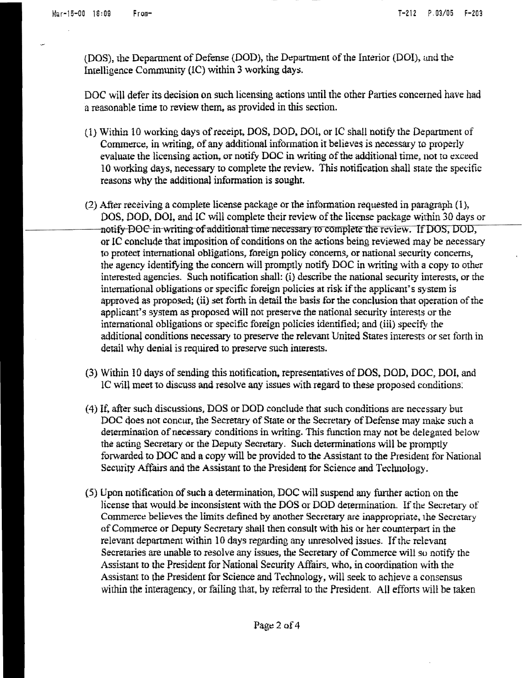(DOS), the Department of Defense (DOD), the Department of the Interior (DOI), and the Intelligence Community (IC) within 3 working days.

DOC will defer its decision on such licensing actions until the other Parties concerned have had a reasonable time to review them, as provided in this section.

- (1) Within 10 working days of receipt, DOS, DOD, DOI, or IC shall notify the Department of Commerce, in writing, of any additional information it believes is necessary to properly evaluate the licensing action, or notify DOC in writing of the additional time, not to exceed 10 working days, necessary to complete the review. This notification shall state the specific reasons why the additional information is sought.
- (2) After receiving a complete license package or the information requested in paragraph (1), DOS, DOD, DOI, and IC will complete their review of the license package within 30 days or notify DOC in writing of additional time necessary to complete the review. If DOS, DOD, or IC conclude that imposition of conditions on the actions being reviewed may be necessary to protect international obligations, foreign policy concerns, or national security concerns, the agency identifying the concern will promptly notify DOC in writing with a copy to other interested agencies. Such notification shall: (i) describe the national security interests, or the international obligations or specific foreign policies at risk if the applicant's system is approved as proposed; (ii) set forth in detail the basis for the conclusion that operation of the applicant's system as proposed will not preserve the national security interests or the international obligations or specific foreign policies identified; and (iii) specify the additional conditions necessary to preserve the relevant United States interests or set forth in detail why denial is required to preserve such interests.
- (3) Within 10 days of sending this notification, representatives of DOS, DOD, DOC, DOI, and IC will meet to discuss and resolve any issues with regard to these proposed conditions.
- (4) If, after such discussions, DOS or DOD conclude that such conditions are necessary but DOC does not concur, the Secretary of State or the Secretary of Defense may make such a determination of necessary conditions in writing. This function may not be delegated below the acting Secretary or the Deputy Secretary. Such determinations will be promptly forwarded to DOC and a copy will be provided to the Assistant to the President for National Security Affairs and the Assistant to the President for Science and Technology.
- (5) Upon notification of such a determination, DOC will suspend any further action on the license that would be inconsistent with the DOS or DOD determination. If the Secretary of Commerce believes the limits defined by another Secretary are inappropriate, the Secretary of Commerce or Deputy Secretary shall then consult with his or her counterpart in the relevant department within 10 days regarding any unresolved issues. If the relevant Secretaries are unable to resolve any issues, the Secretary of Commerce will so notify the Assistant to the President for National Security Affairs, who, in coordination with the Assistant to the President for Science and Technology, will seek to achieve a consensus within the interagency, or failing that, by referral to the President. All efforts will be taken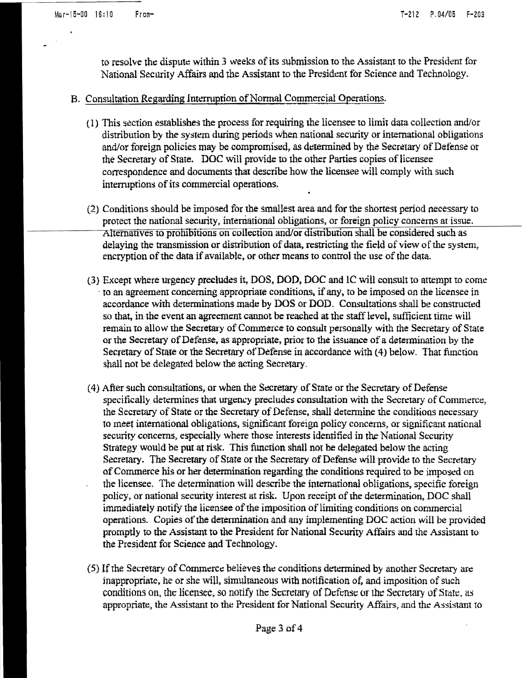to resolve the dispute within 3 weeks of its submission to the Assistant to the President for National Security Affairs and the Assistant to the President for Science and Technology.

## B. Consultation Regarding Interruption of Normal Commercial Operations.

- (1) This section establishes the process for requiring the licensee to limit data collection and/or distribution by the system during periods when national security or international obligations and/or foreign policies may be compromised, as determined by the Secretary of Defense or the Secretary of State. DOC will provide to the other Parties copies of licensee correspondence and documents that describe how the licensee will comply with such interruptions of its commercial operations.
- (2) Conditions should be imposed for the smallest area and for the shortest period necessary to protect the national security, international obligations, or foreign policy concerns at issue. Alternatives to prohibitions on collection and/or distribution shall be considered such as delaying the transmission or distribution of data, restricting the field of view of the system, encryption of the data if available, or other means to control the use of the data.
- (3) Except where urgency precludes it, DOS, DOD, DOC and IC will consult to attempt to come to an agreement concerning appropriate conditions, if any, to be imposed on the licensee in accordance with determinations made by DOS or DOD. Consultations shall be constructed so that, in the event an agreement cannot be reached at the staff level, sufficient time will remain to allow the Secretary of Commerce to consult personally with the Secretary of State or the Secretary of Defense, as appropriate, prior to the issuance of a determination by the Secretary of State or the Secretary of Defense in accordance with (4) below. That function shall not be delegated below the acting Secretary.
- (4) After such consultations, or when the Secretary of State or the Secretary of Defense specifically determines that urgency precludes consultation with the Secretary of Commerce, the Secretary of State or the Secretary of Defense, shall determine the conditions necessary to meet international obligations, significant foreign policy concerns, or significant national security concerns, especially where those interests identified in the National Security Strategy would be put at risk. This function shall not be delegated below the acting Secretary. The Secretary of State or the Secretary of Defense will provide to the Secretary of Commerce his or her determination regarding the conditions required to be imposed on the licensee. The determination will describe the international obligations, specific foreign policy, or national security interest at risk. Upon receipt of the determination, DOC shall immediately notify the licensee of the imposition of limiting conditions on commercial operations. Copies of the determination and any implementing DOC action will be provided promptly to the Assistant to the President for National Security Affairs and the Assistant to the President for Science and Technology.
- (5) If the Secretary of Commerce believes the conditions determined by another Secretary are inappropriate, he or she will, simultaneous with notification of, and imposition of such conditions on, the licensee, so notify the Secretary of Defense or the Secretary of State, as appropriate, the Assistant to the President for National Security Affairs, and the Assistant to